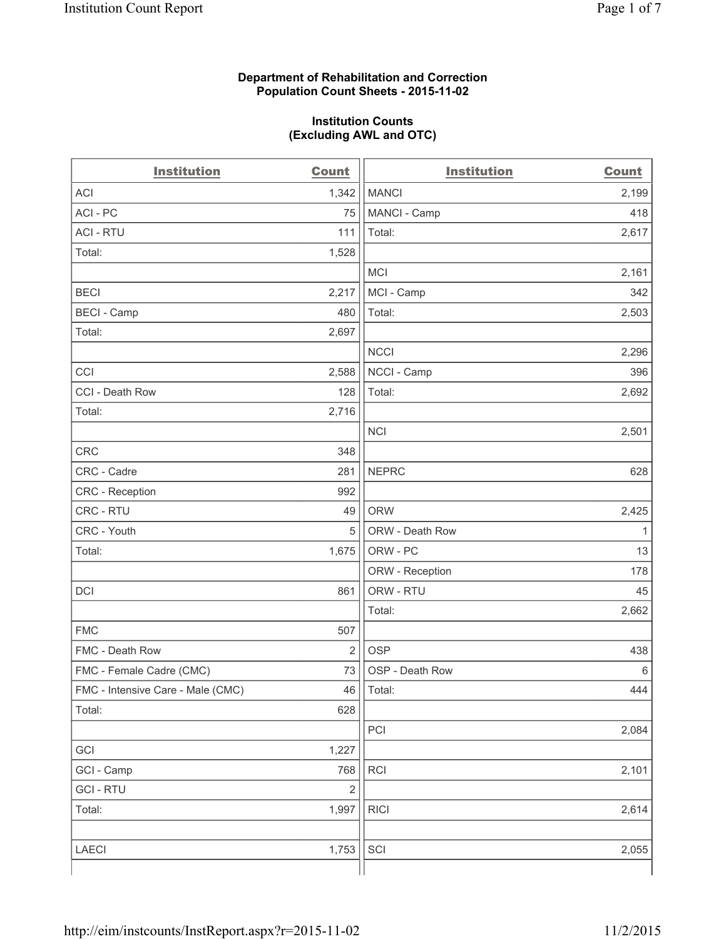#### **Department of Rehabilitation and Correction Population Count Sheets - 2015-11-02**

#### **Institution Counts (Excluding AWL and OTC)**

| <b>Institution</b>                | Count          | <b>Institution</b> | <b>Count</b> |
|-----------------------------------|----------------|--------------------|--------------|
| <b>ACI</b>                        | 1,342          | <b>MANCI</b>       | 2,199        |
| ACI-PC                            | 75             | MANCI - Camp       | 418          |
| <b>ACI - RTU</b>                  | 111            | Total:             | 2,617        |
| Total:                            | 1,528          |                    |              |
|                                   |                | <b>MCI</b>         | 2,161        |
| <b>BECI</b>                       | 2,217          | MCI - Camp         | 342          |
| <b>BECI</b> - Camp                | 480            | Total:             | 2,503        |
| Total:                            | 2,697          |                    |              |
|                                   |                | <b>NCCI</b>        | 2,296        |
| CCI                               | 2,588          | NCCI - Camp        | 396          |
| CCI - Death Row                   | 128            | Total:             | 2,692        |
| Total:                            | 2,716          |                    |              |
|                                   |                | <b>NCI</b>         | 2,501        |
| <b>CRC</b>                        | 348            |                    |              |
| CRC - Cadre                       | 281            | <b>NEPRC</b>       | 628          |
| CRC - Reception                   | 992            |                    |              |
| CRC - RTU                         | 49             | <b>ORW</b>         | 2,425        |
| CRC - Youth                       | 5              | ORW - Death Row    | $\mathbf{1}$ |
| Total:                            | 1,675          | ORW - PC           | 13           |
|                                   |                | ORW - Reception    | 178          |
| DCI                               | 861            | ORW - RTU          | 45           |
|                                   |                | Total:             | 2,662        |
| <b>FMC</b>                        | 507            |                    |              |
| FMC - Death Row                   | $\overline{2}$ | <b>OSP</b>         | 438          |
| FMC - Female Cadre (CMC)          | 73             | OSP - Death Row    | 6            |
| FMC - Intensive Care - Male (CMC) | 46             | Total:             | 444          |
| Total:                            | 628            |                    |              |
|                                   |                | PCI                | 2,084        |
| GCI                               | 1,227          |                    |              |
| GCI - Camp                        | 768            | RCI                | 2,101        |
| <b>GCI-RTU</b>                    | $\mathbf 2$    |                    |              |
| Total:                            | 1,997          | <b>RICI</b>        | 2,614        |
|                                   |                |                    |              |
| LAECI                             | 1,753          | SCI                | 2,055        |
|                                   |                |                    |              |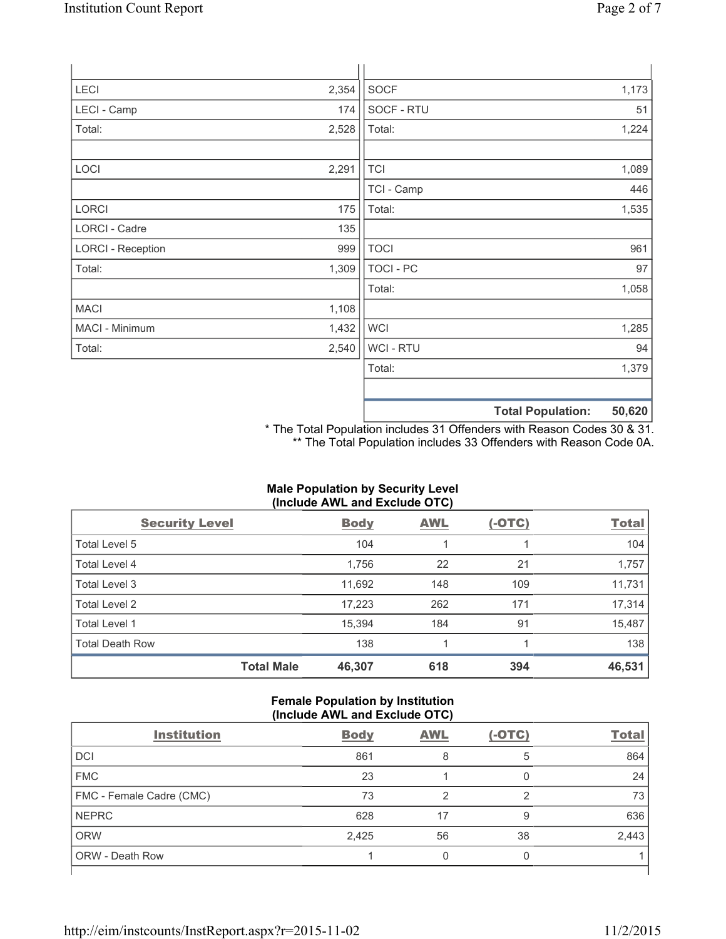| <b>LECI</b>              | 2,354 | SOCF             |                          | 1,173  |
|--------------------------|-------|------------------|--------------------------|--------|
| LECI - Camp              | 174   | SOCF - RTU       |                          | 51     |
| Total:                   | 2,528 | Total:           |                          | 1,224  |
|                          |       |                  |                          |        |
| LOCI                     | 2,291 | <b>TCI</b>       |                          | 1,089  |
|                          |       | TCI - Camp       |                          | 446    |
| <b>LORCI</b>             | 175   | Total:           |                          | 1,535  |
| LORCI - Cadre            | 135   |                  |                          |        |
| <b>LORCI - Reception</b> | 999   | <b>TOCI</b>      |                          | 961    |
| Total:                   | 1,309 | <b>TOCI - PC</b> |                          | 97     |
|                          |       | Total:           |                          | 1,058  |
| <b>MACI</b>              | 1,108 |                  |                          |        |
| MACI - Minimum           | 1,432 | <b>WCI</b>       |                          | 1,285  |
| Total:                   | 2,540 | <b>WCI - RTU</b> |                          | 94     |
|                          |       | Total:           |                          | 1,379  |
|                          |       |                  |                          |        |
|                          |       |                  | <b>Total Population:</b> | 50,620 |

\* The Total Population includes 31 Offenders with Reason Codes 30 & 31. \*\* The Total Population includes 33 Offenders with Reason Code 0A.

# **Male Population by Security Level (Include AWL and Exclude OTC)**

| <b>Security Level</b>  |                   | <b>Body</b> | <b>AWL</b> | $(-OTC)$ | <b>Total</b> |
|------------------------|-------------------|-------------|------------|----------|--------------|
| Total Level 5          |                   | 104         | 1          |          | 104          |
| Total Level 4          |                   | 1,756       | 22         | 21       | 1,757        |
| Total Level 3          |                   | 11,692      | 148        | 109      | 11,731       |
| Total Level 2          |                   | 17,223      | 262        | 171      | 17,314       |
| <b>Total Level 1</b>   |                   | 15,394      | 184        | 91       | 15,487       |
| <b>Total Death Row</b> |                   | 138         | 1          |          | 138          |
|                        | <b>Total Male</b> | 46,307      | 618        | 394      | 46,531       |

## **Female Population by Institution (Include AWL and Exclude OTC)**

| $\frac{1}{2}$            |             |            |          |              |
|--------------------------|-------------|------------|----------|--------------|
| <b>Institution</b>       | <b>Body</b> | <b>AWL</b> | $(-OTC)$ | <b>Total</b> |
| <b>DCI</b>               | 861         | 8          | 5        | 864          |
| <b>FMC</b>               | 23          |            |          | 24           |
| FMC - Female Cadre (CMC) | 73          | っ          | っ        | 73           |
| <b>NEPRC</b>             | 628         | 17         | 9        | 636          |
| <b>ORW</b>               | 2,425       | 56         | 38       | 2,443        |
| <b>ORW - Death Row</b>   |             |            |          |              |
|                          |             |            |          |              |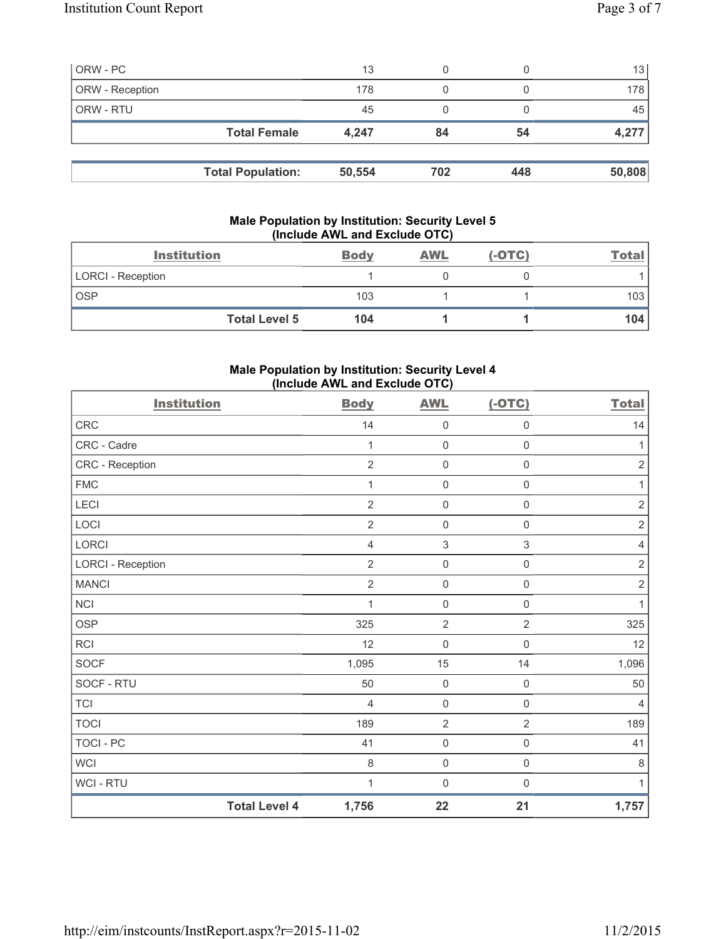| ORW - PC        |                          | 13     |     |     | 13     |
|-----------------|--------------------------|--------|-----|-----|--------|
| ORW - Reception |                          | 178    |     |     | 178    |
| ORW - RTU       |                          | 45     | 0   |     | 45     |
|                 | <b>Total Female</b>      | 4.247  | 84  | 54  | 4,277  |
|                 |                          |        |     |     |        |
|                 | <b>Total Population:</b> | 50,554 | 702 | 448 | 50,808 |

## **Male Population by Institution: Security Level 5 (Include AWL and Exclude OTC)**

| <b>Institution</b>       | <b>Body</b> | <b>AWL</b> | $(-OTC)$ | <b>Total</b>     |
|--------------------------|-------------|------------|----------|------------------|
| <b>LORCI - Reception</b> |             |            |          |                  |
| <b>OSP</b>               | 103         |            |          | 103 <sub>l</sub> |
| <b>Total Level 5</b>     | 104         |            |          | 104              |

## **Male Population by Institution: Security Level 4 (Include AWL and Exclude OTC)**

| <b>Institution</b>       |                      | <b>Body</b>    | <b>AWL</b>          | $(-OTC)$            | <b>Total</b>   |
|--------------------------|----------------------|----------------|---------------------|---------------------|----------------|
| <b>CRC</b>               |                      | 14             | $\mathsf{O}\xspace$ | $\mathsf{O}\xspace$ | 14             |
| CRC - Cadre              |                      | 1              | $\mathsf{O}\xspace$ | $\mathsf 0$         | 1              |
| CRC - Reception          |                      | $\overline{2}$ | $\mathsf{O}\xspace$ | $\mathbf 0$         | $\sqrt{2}$     |
| <b>FMC</b>               |                      | 1              | $\mathbf 0$         | $\mathsf 0$         | 1              |
| LECI                     |                      | $\overline{2}$ | $\mathsf{O}\xspace$ | $\mathsf 0$         | $\sqrt{2}$     |
| LOCI                     |                      | $\overline{2}$ | $\mathsf{O}\xspace$ | $\mathsf{O}\xspace$ | $\sqrt{2}$     |
| LORCI                    |                      | 4              | $\sqrt{3}$          | $\mathfrak{S}$      | $\overline{4}$ |
| <b>LORCI - Reception</b> |                      | $\overline{2}$ | $\mathsf 0$         | $\mathsf{O}\xspace$ | $\sqrt{2}$     |
| <b>MANCI</b>             |                      | $\overline{2}$ | $\mathsf{O}\xspace$ | $\mathsf{O}\xspace$ | $\sqrt{2}$     |
| <b>NCI</b>               |                      | 1              | $\mathsf{O}\xspace$ | $\mathsf 0$         | 1              |
| <b>OSP</b>               |                      | 325            | $\overline{2}$      | $\overline{2}$      | 325            |
| RCI                      |                      | 12             | $\mathsf{O}\xspace$ | $\mathsf 0$         | 12             |
| SOCF                     |                      | 1,095          | 15                  | 14                  | 1,096          |
| SOCF - RTU               |                      | 50             | $\mathsf{O}\xspace$ | $\mathsf{O}\xspace$ | 50             |
| <b>TCI</b>               |                      | 4              | $\mathsf{O}\xspace$ | $\mathsf{O}\xspace$ | $\overline{4}$ |
| <b>TOCI</b>              |                      | 189            | $\overline{2}$      | $\overline{2}$      | 189            |
| <b>TOCI - PC</b>         |                      | 41             | $\mathsf{O}\xspace$ | $\mathsf 0$         | 41             |
| <b>WCI</b>               |                      | 8              | $\mathsf{O}\xspace$ | $\mathsf{O}\xspace$ | $\,8\,$        |
| WCI - RTU                |                      | 1              | $\mathsf{O}\xspace$ | $\mathsf{O}\xspace$ | 1              |
|                          | <b>Total Level 4</b> | 1,756          | 22                  | 21                  | 1,757          |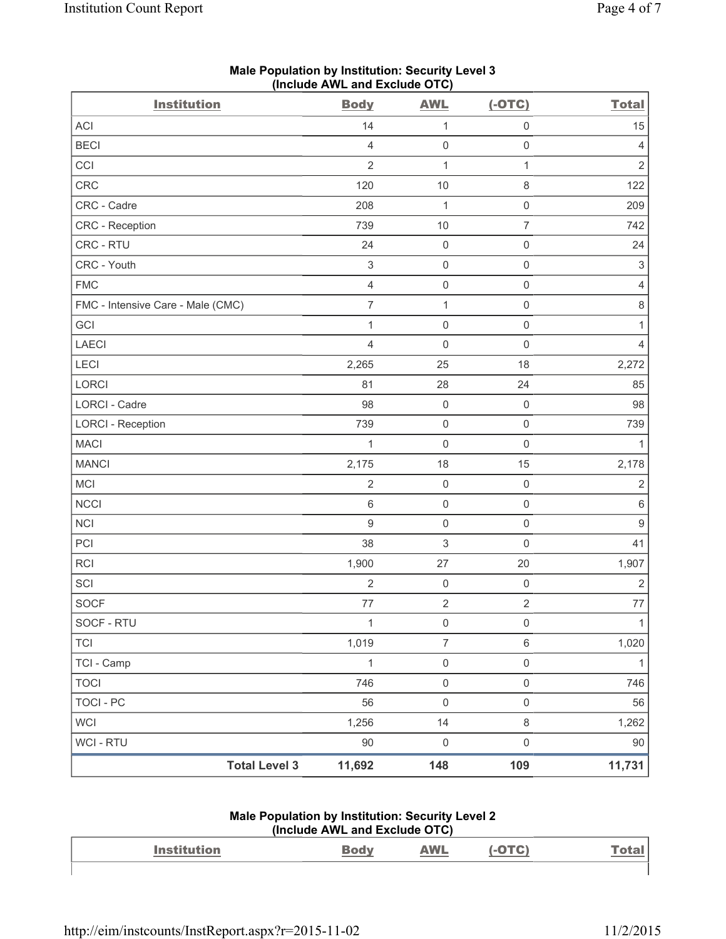| <b>Institution</b>                | <b>Body</b>               | <b>AWL</b>          | $(-OTC)$            | <b>Total</b>              |
|-----------------------------------|---------------------------|---------------------|---------------------|---------------------------|
| ACI                               | 14                        | 1                   | $\mathsf{O}\xspace$ | 15                        |
| <b>BECI</b>                       | $\overline{4}$            | $\mathbf 0$         | $\mathsf 0$         | 4                         |
| CCI                               | $\overline{2}$            | $\mathbf 1$         | $\mathbf{1}$        | $\sqrt{2}$                |
| CRC                               | 120                       | 10                  | $\,8\,$             | 122                       |
| CRC - Cadre                       | 208                       | 1                   | $\mathsf{O}\xspace$ | 209                       |
| CRC - Reception                   | 739                       | 10                  | $\overline{7}$      | 742                       |
| CRC - RTU                         | 24                        | $\mathbf 0$         | $\mathsf 0$         | 24                        |
| CRC - Youth                       | $\ensuremath{\mathsf{3}}$ | $\mathsf{O}\xspace$ | $\mathsf 0$         | $\ensuremath{\mathsf{3}}$ |
| ${\sf FMC}$                       | $\overline{4}$            | $\mathsf{O}\xspace$ | $\mathsf 0$         | $\overline{4}$            |
| FMC - Intensive Care - Male (CMC) | $\overline{7}$            | $\mathbf 1$         | $\mathsf 0$         | 8                         |
| GCI                               | $\mathbf{1}$              | $\mathsf{O}\xspace$ | $\mathsf{O}\xspace$ | 1                         |
| LAECI                             | $\overline{4}$            | $\mathbf 0$         | $\mathbf 0$         | $\overline{4}$            |
| LECI                              | 2,265                     | 25                  | 18                  | 2,272                     |
| LORCI                             | 81                        | 28                  | 24                  | 85                        |
| LORCI - Cadre                     | 98                        | $\mathsf{O}\xspace$ | $\mathsf 0$         | 98                        |
| <b>LORCI - Reception</b>          | 739                       | $\mathsf{O}\xspace$ | $\mathsf 0$         | 739                       |
| <b>MACI</b>                       | $\mathbf{1}$              | $\mathbf 0$         | $\mathsf 0$         | $\mathbf{1}$              |
| <b>MANCI</b>                      | 2,175                     | 18                  | 15                  | 2,178                     |
| MCI                               | $\sqrt{2}$                | $\mathsf{O}\xspace$ | $\mathsf 0$         | $\overline{2}$            |
| <b>NCCI</b>                       | 6                         | $\mathsf{O}\xspace$ | $\mathsf 0$         | 6                         |
| NCI                               | $\boldsymbol{9}$          | $\mathsf{O}\xspace$ | $\mathsf 0$         | $\mathsf g$               |
| PCI                               | 38                        | $\mathsf 3$         | $\mathbf 0$         | 41                        |
| RCI                               | 1,900                     | 27                  | 20                  | 1,907                     |
| SCI                               | $\sqrt{2}$                | $\mathbf 0$         | $\mathsf 0$         | $\overline{2}$            |
| <b>SOCF</b>                       | 77                        | $\sqrt{2}$          | $\sqrt{2}$          | 77                        |
| SOCF - RTU                        | 1                         | $\mathsf 0$         | $\mathsf 0$         | $\mathbf{1}$              |
| <b>TCI</b>                        | 1,019                     | $\overline{7}$      | $\,6\,$             | 1,020                     |
| TCI - Camp                        | $\mathbf{1}$              | $\mathsf{O}\xspace$ | $\mathsf{O}\xspace$ | $\mathbf{1}$              |
| <b>TOCI</b>                       | 746                       | $\mathsf 0$         | $\mathsf 0$         | 746                       |
| <b>TOCI - PC</b>                  | 56                        | $\mathsf{O}\xspace$ | $\mathsf 0$         | 56                        |
| WCI                               | 1,256                     | 14                  | $\,8\,$             | 1,262                     |
| WCI - RTU                         | $90\,$                    | $\mathbf 0$         | $\mathsf{O}\xspace$ | 90                        |
| <b>Total Level 3</b>              | 11,692                    | 148                 | 109                 | 11,731                    |

## **Male Population by Institution: Security Level 3 (Include AWL and Exclude OTC)**

#### **Male Population by Institution: Security Level 2 (Include AWL and Exclude OTC)**

|                    | $(110)(1440)$ $(1114)$ $(114)$ $(1014)$ |            |               |
|--------------------|-----------------------------------------|------------|---------------|
| <b>Institution</b> |                                         | <b>AWL</b> | <u> Total</u> |
|                    |                                         |            |               |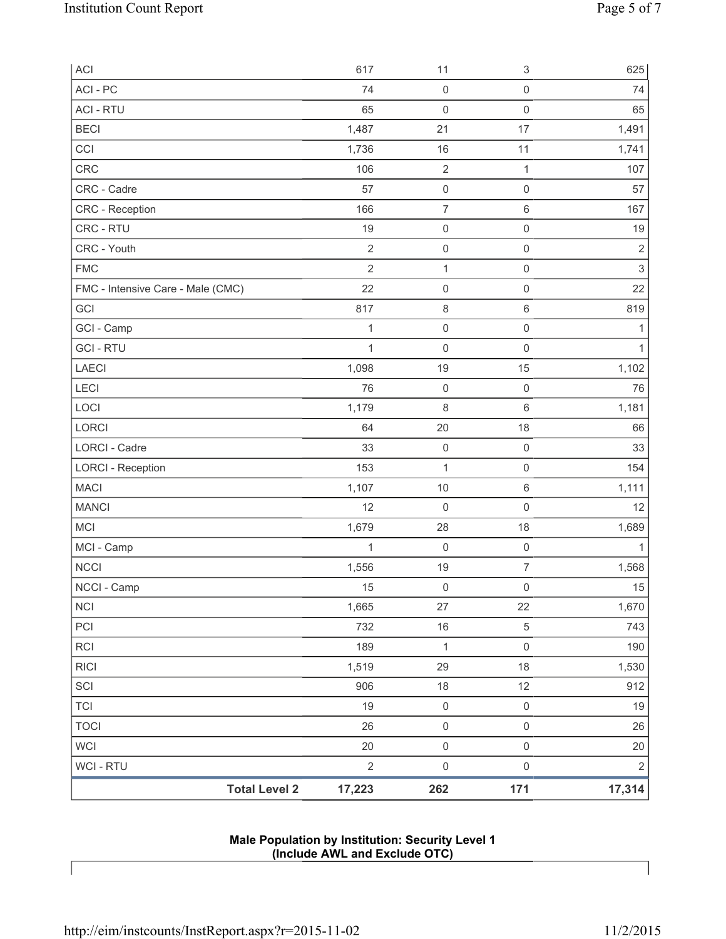| <b>Total Level 2</b>              | 17,223         | 262                 | 171                       | 17,314         |
|-----------------------------------|----------------|---------------------|---------------------------|----------------|
| WCI - RTU                         | $\overline{2}$ | $\mathsf{O}\xspace$ | $\mathsf 0$               | $\overline{2}$ |
| <b>WCI</b>                        | 20             | $\mathsf 0$         | $\mathsf 0$               | $20\,$         |
| <b>TOCI</b>                       | 26             | $\mathsf{O}\xspace$ | $\mathsf 0$               | 26             |
| <b>TCI</b>                        | 19             | $\mathsf 0$         | $\mathsf 0$               | 19             |
| SCI                               | 906            | $18$                | 12                        | 912            |
| <b>RICI</b>                       | 1,519          | 29                  | 18                        | 1,530          |
| RCI                               | 189            | $\mathbf{1}$        | $\mathsf 0$               | 190            |
| PCI                               | 732            | $16$                | $\,$ 5 $\,$               | 743            |
| <b>NCI</b>                        | 1,665          | 27                  | 22                        | 1,670          |
| NCCI - Camp                       | 15             | $\mathbf 0$         | $\mathsf{O}\xspace$       | 15             |
| <b>NCCI</b>                       | 1,556          | 19                  | $\boldsymbol{7}$          | 1,568          |
| MCI - Camp                        | $\mathbf{1}$   | $\mathsf{O}\xspace$ | $\mathsf 0$               | $\mathbf{1}$   |
| <b>MCI</b>                        | 1,679          | 28                  | 18                        | 1,689          |
| <b>MANCI</b>                      | 12             | 0                   | $\mathsf{O}\xspace$       | 12             |
| <b>MACI</b>                       | 1,107          | $10$                | $\,6\,$                   | 1,111          |
| <b>LORCI - Reception</b>          | 153            | 1                   | $\mathsf 0$               | 154            |
| LORCI - Cadre                     | 33             | $\mathsf 0$         | $\mathsf 0$               | 33             |
| LORCI                             | 64             | 20                  | 18                        | 66             |
| LOCI                              | 1,179          | 8                   | $6\,$                     | 1,181          |
| LECI                              | 76             | $\mathsf 0$         | $\mathsf 0$               | 76             |
| <b>LAECI</b>                      | 1,098          | 19                  | 15                        | 1,102          |
| <b>GCI-RTU</b>                    | $\mathbf{1}$   | $\mathsf 0$         | $\mathsf 0$               | $\mathbf{1}$   |
| GCI - Camp                        | $\mathbf{1}$   | $\mathsf 0$         | $\mathsf 0$               | 1              |
| GCI                               | 817            | $\,8\,$             | $\,6\,$                   | 819            |
| FMC - Intensive Care - Male (CMC) | 22             | $\mathsf{O}\xspace$ | $\mathsf 0$               | 22             |
| <b>FMC</b>                        | $\overline{2}$ | $\mathbf{1}$        | $\mathsf 0$               | $\mathsf 3$    |
| CRC - Youth                       | $\sqrt{2}$     | $\mathsf{O}\xspace$ | $\mathsf 0$               | $\overline{2}$ |
| CRC - RTU                         | 19             | $\mathsf 0$         | $\mathsf 0$               | 19             |
| <b>CRC</b> - Reception            | 166            | $\overline{7}$      | $\,6\,$                   | 167            |
| CRC - Cadre                       | 57             | $\mathsf{O}\xspace$ | $\mathsf 0$               | 57             |
| CRC                               | 1,736<br>106   | 16<br>$\mathbf 2$   | $\mathbf{1}$              | 1,741<br>107   |
| <b>BECI</b><br>CCI                | 1,487          | 21                  | 17<br>11                  | 1,491          |
| <b>ACI - RTU</b>                  | 65             | $\mathsf{O}\xspace$ | $\mathsf 0$               | 65             |
| ACI - PC                          | 74             | $\mathsf{O}\xspace$ | $\mathsf 0$               | 74             |
| ACI                               | 617            | 11                  | $\ensuremath{\mathsf{3}}$ | 625            |
|                                   |                |                     |                           |                |

**Male Population by Institution: Security Level 1 (Include AWL and Exclude OTC)**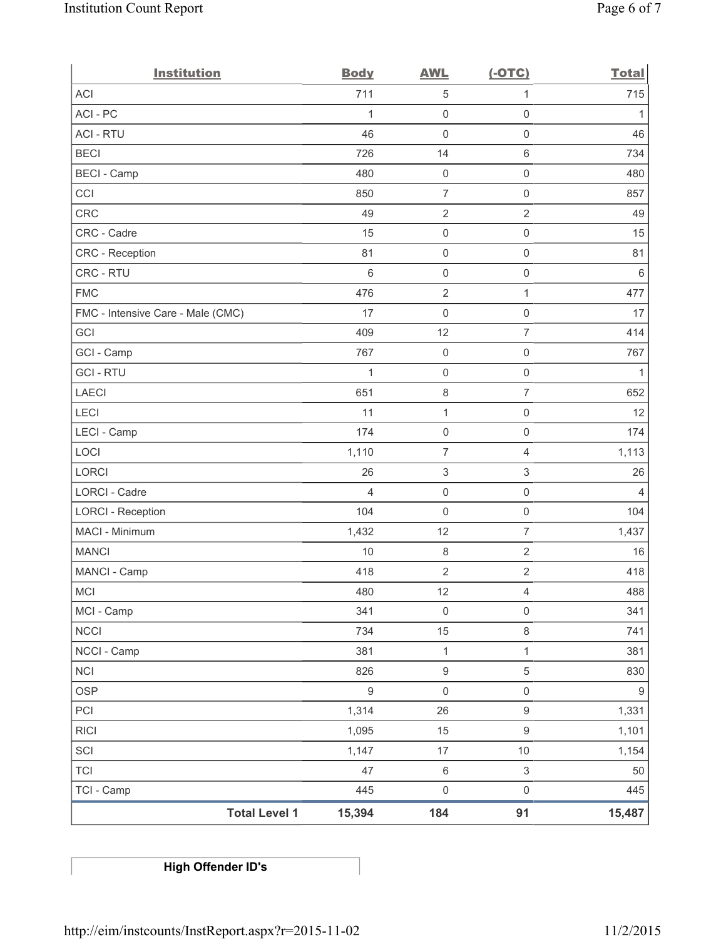| <b>Institution</b>                | <b>Body</b>      | <b>AWL</b>                | $(-OTC)$                  | <b>Total</b>     |
|-----------------------------------|------------------|---------------------------|---------------------------|------------------|
| <b>ACI</b>                        | 711              | $\sqrt{5}$                | $\mathbf{1}$              | 715              |
| ACI-PC                            | 1                | $\mathsf{O}\xspace$       | $\mathsf{O}\xspace$       | 1                |
| <b>ACI - RTU</b>                  | 46               | $\mathbf 0$               | $\mathsf{O}\xspace$       | 46               |
| <b>BECI</b>                       | 726              | 14                        | $\,6$                     | 734              |
| <b>BECI - Camp</b>                | 480              | $\mathsf 0$               | $\mathsf{O}\xspace$       | 480              |
| CCI                               | 850              | $\overline{7}$            | $\mathsf{O}\xspace$       | 857              |
| <b>CRC</b>                        | 49               | $\mathbf 2$               | $\overline{2}$            | 49               |
| CRC - Cadre                       | 15               | $\mathsf{O}\xspace$       | $\mathsf{O}\xspace$       | 15               |
| CRC - Reception                   | 81               | $\mathsf{O}\xspace$       | $\mathsf{O}\xspace$       | 81               |
| CRC - RTU                         | $6\,$            | $\mathsf{O}\xspace$       | $\mathsf{O}\xspace$       | $\,6\,$          |
| <b>FMC</b>                        | 476              | $\sqrt{2}$                | $\mathbf{1}$              | 477              |
| FMC - Intensive Care - Male (CMC) | 17               | $\mathsf{O}\xspace$       | $\mathsf{O}\xspace$       | 17               |
| GCI                               | 409              | 12                        | $\overline{7}$            | 414              |
| GCI - Camp                        | 767              | $\mathsf{O}\xspace$       | $\mathsf{O}\xspace$       | 767              |
| <b>GCI-RTU</b>                    | $\mathbf{1}$     | $\mathsf 0$               | $\mathsf 0$               | $\mathbf{1}$     |
| <b>LAECI</b>                      | 651              | 8                         | $\overline{7}$            | 652              |
| LECI                              | 11               | $\mathbf{1}$              | $\mathsf{O}\xspace$       | 12               |
| LECI - Camp                       | 174              | $\mathsf 0$               | $\mathsf{O}\xspace$       | 174              |
| LOCI                              | 1,110            | $\overline{7}$            | $\overline{4}$            | 1,113            |
| LORCI                             | 26               | $\ensuremath{\mathsf{3}}$ | $\ensuremath{\mathsf{3}}$ | 26               |
| LORCI - Cadre                     | $\overline{4}$   | $\mathsf{O}\xspace$       | $\mathsf 0$               | 4                |
| <b>LORCI - Reception</b>          | 104              | $\mathsf{O}\xspace$       | $\mathsf{O}\xspace$       | 104              |
| MACI - Minimum                    | 1,432            | 12                        | $\overline{7}$            | 1,437            |
| <b>MANCI</b>                      | 10               | $\,8\,$                   | $\overline{2}$            | 16               |
| MANCI - Camp                      | 418              | $\overline{\mathbf{c}}$   | $\sqrt{2}$                | 418              |
| MCI                               | 480              | 12                        | $\overline{4}$            | 488              |
| MCI - Camp                        | 341              | $\mathsf 0$               | $\mathsf 0$               | 341              |
| <b>NCCI</b>                       | 734              | 15                        | $\,8\,$                   | 741              |
| NCCI - Camp                       | 381              | $\mathbf{1}$              | 1                         | 381              |
| NCI                               | 826              | $\boldsymbol{9}$          | $\,$ 5 $\,$               | 830              |
| <b>OSP</b>                        | $\boldsymbol{9}$ | $\mathsf{O}\xspace$       | $\mathsf{O}\xspace$       | $\boldsymbol{9}$ |
| PCI                               | 1,314            | 26                        | $\boldsymbol{9}$          | 1,331            |
| <b>RICI</b>                       | 1,095            | 15                        | $\boldsymbol{9}$          | 1,101            |
| SCI                               | 1,147            | $17\,$                    | $10$                      | 1,154            |
| <b>TCI</b>                        | 47               | $\,6\,$                   | $\ensuremath{\mathsf{3}}$ | $50\,$           |
| TCI - Camp                        | 445              | $\mathsf{O}\xspace$       | $\mathsf{O}\xspace$       | 445              |
| <b>Total Level 1</b>              | 15,394           | 184                       | 91                        | 15,487           |

**High Offender ID's**